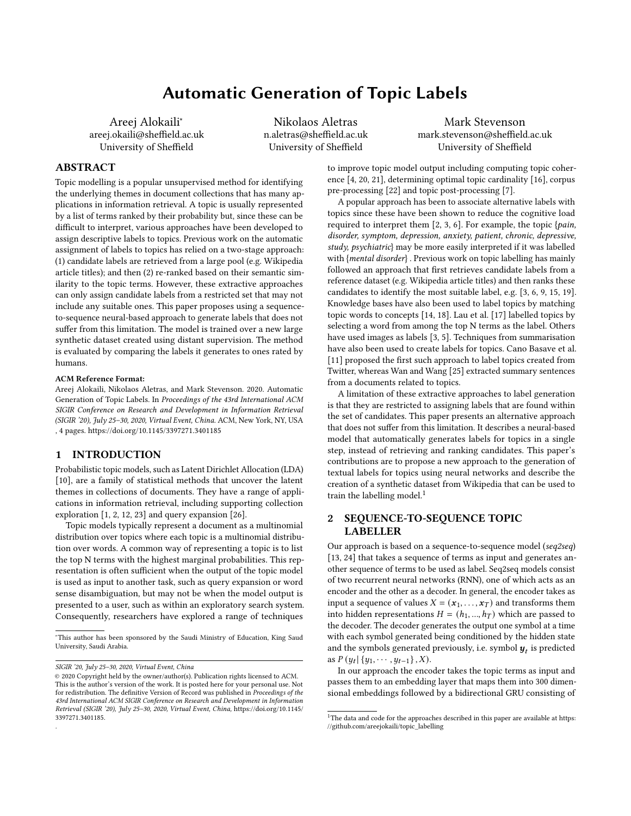# Automatic Generation of Topic Labels

Areej Alokaili<sup>∗</sup> areej.okaili@sheffield.ac.uk University of Sheffield

Nikolaos Aletras n.aletras@sheffield.ac.uk University of Sheffield

Mark Stevenson mark.stevenson@sheffield.ac.uk University of Sheffield

## ABSTRACT

Topic modelling is a popular unsupervised method for identifying the underlying themes in document collections that has many applications in information retrieval. A topic is usually represented by a list of terms ranked by their probability but, since these can be difficult to interpret, various approaches have been developed to assign descriptive labels to topics. Previous work on the automatic assignment of labels to topics has relied on a two-stage approach: (1) candidate labels are retrieved from a large pool (e.g. Wikipedia article titles); and then (2) re-ranked based on their semantic similarity to the topic terms. However, these extractive approaches can only assign candidate labels from a restricted set that may not include any suitable ones. This paper proposes using a sequenceto-sequence neural-based approach to generate labels that does not suffer from this limitation. The model is trained over a new large synthetic dataset created using distant supervision. The method is evaluated by comparing the labels it generates to ones rated by humans.

#### ACM Reference Format:

Areej Alokaili, Nikolaos Aletras, and Mark Stevenson. 2020. Automatic Generation of Topic Labels. In Proceedings of the 43rd International ACM SIGIR Conference on Research and Development in Information Retrieval (SIGIR '20), July 25–30, 2020, Virtual Event, China. ACM, New York, NY, USA , 4 pages. https://doi.org/10.1145/3397271.3401185

## 1 INTRODUCTION

Probabilistic topic models, such as Latent Dirichlet Allocation (LDA) [10], are a family of statistical methods that uncover the latent themes in collections of documents. They have a range of applications in information retrieval, including supporting collection exploration [1, 2, 12, 23] and query expansion [26].

Topic models typically represent a document as a multinomial distribution over topics where each topic is a multinomial distribution over words. A common way of representing a topic is to list the top N terms with the highest marginal probabilities. This representation is often sufficient when the output of the topic model is used as input to another task, such as query expansion or word sense disambiguation, but may not be when the model output is presented to a user, such as within an exploratory search system. Consequently, researchers have explored a range of techniques

.

to improve topic model output including computing topic coherence [4, 20, 21], determining optimal topic cardinality [16], corpus pre-processing [22] and topic post-processing [7].

A popular approach has been to associate alternative labels with topics since these have been shown to reduce the cognitive load required to interpret them  $[2, 3, 6]$ . For example, the topic {*pain*, disorder, symptom, depression, anxiety, patient, chronic, depressive, study, psychiatric} may be more easily interpreted if it was labelled with {mental disorder} . Previous work on topic labelling has mainly followed an approach that first retrieves candidate labels from a reference dataset (e.g. Wikipedia article titles) and then ranks these candidates to identify the most suitable label, e.g. [3, 6, 9, 15, 19]. Knowledge bases have also been used to label topics by matching topic words to concepts [14, 18]. Lau et al. [17] labelled topics by selecting a word from among the top N terms as the label. Others have used images as labels [3, 5]. Techniques from summarisation have also been used to create labels for topics. Cano Basave et al. [11] proposed the first such approach to label topics created from Twitter, whereas Wan and Wang [25] extracted summary sentences from a documents related to topics.

A limitation of these extractive approaches to label generation is that they are restricted to assigning labels that are found within the set of candidates. This paper presents an alternative approach that does not suffer from this limitation. It describes a neural-based model that automatically generates labels for topics in a single step, instead of retrieving and ranking candidates. This paper's contributions are to propose a new approach to the generation of textual labels for topics using neural networks and describe the creation of a synthetic dataset from Wikipedia that can be used to train the labelling model.<sup>1</sup>

## 2 SEQUENCE-TO-SEQUENCE TOPIC LABELLER

Our approach is based on a sequence-to-sequence model (seq2seq) [13, 24] that takes a sequence of terms as input and generates another sequence of terms to be used as label. Seq2seq models consist of two recurrent neural networks (RNN), one of which acts as an encoder and the other as a decoder. In general, the encoder takes as input a sequence of values  $X = (x_1, \ldots, x_T)$  and transforms them into hidden representations  $H = (h_1, ..., h_T)$  which are passed to the decoder. The decoder generates the output one symbol at a time with each symbol generated being conditioned by the hidden state and the symbols generated previously, i.e. symbol  $\boldsymbol{y}_t$  is predicted as  $P(y_t | \{y_1, \cdots, y_{t-1}\}, X)$ .

In our approach the encoder takes the topic terms as input and passes them to an embedding layer that maps them into 300 dimensional embeddings followed by a bidirectional GRU consisting of

<sup>∗</sup>This author has been sponsored by the Saudi Ministry of Education, King Saud University, Saudi Arabia.

SIGIR '20, July 25–30, 2020, Virtual Event, China

<sup>©</sup> 2020 Copyright held by the owner/author(s). Publication rights licensed to ACM. This is the author's version of the work. It is posted here for your personal use. Not for redistribution. The definitive Version of Record was published in Proceedings of the 43rd International ACM SIGIR Conference on Research and Development in Information Retrieval (SIGIR '20), July 25–30, 2020, Virtual Event, China, https://doi.org/10.1145/ 3397271.3401185.

<sup>&</sup>lt;sup>1</sup>The data and code for the approaches described in this paper are available at https: //github.com/areejokaili/topic\_labelling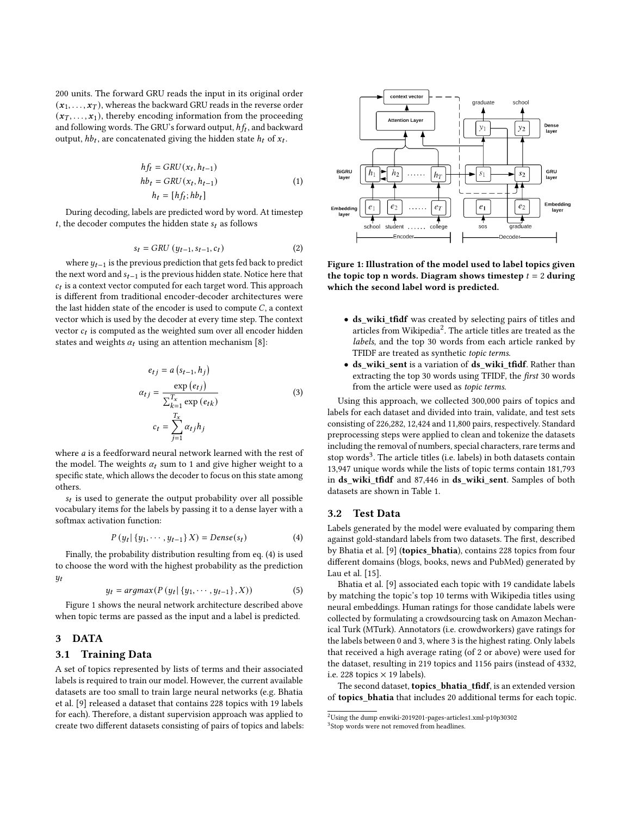200 units. The forward GRU reads the input in its original order  $(x_1, \ldots, x_T)$ , whereas the backward GRU reads in the reverse order  $(x_1, \ldots, x_1)$ , thereby encoding information from the proceeding and following words. The GRU's forward output,  $hf_t$ , and backward output,  $h b_t$ , are concatenated giving the hidden state  $h_t$  of  $x_t$ .

$$
hf_t = GRU(x_t, h_{t-1})
$$
  
\n
$$
hb_t = GRU(x_t, h_{t-1})
$$
  
\n
$$
h_t = [hf_t; hb_t]
$$
\n(1)

During decoding, labels are predicted word by word. At timestep t, the decoder computes the hidden state  $s_t$  as follows

$$
s_t = GRU\left(y_{t-1}, s_{t-1}, c_t\right) \tag{2}
$$

where  $y_{t-1}$  is the previous prediction that gets fed back to predict the next word and  $s_{t-1}$  is the previous hidden state. Notice here that  $c_t$  is a context vector computed for each target word. This approach is different from traditional encoder-decoder architectures were the last hidden state of the encoder is used to compute  $C$ , a context vector which is used by the decoder at every time step. The context vector  $c_t$  is computed as the weighted sum over all encoder hidden states and weights  $\alpha_t$  using an attention mechanism [8]:

$$
e_{tj} = a (s_{t-1}, h_j)
$$

$$
\alpha_{tj} = \frac{\exp(e_{tj})}{\sum_{k=1}^{T_x} \exp(e_{tk})}
$$
(3)
$$
c_t = \sum_{j=1}^{T_x} \alpha_{tj} h_j
$$

where  $a$  is a feedforward neural network learned with the rest of the model. The weights  $\alpha_t$  sum to 1 and give higher weight to a specific state, which allows the decoder to focus on this state among others.

 $s_t$  is used to generate the output probability over all possible vocabulary items for the labels by passing it to a dense layer with a softmax activation function:

$$
P(y_t | \{y_1, \cdots, y_{t-1}\} X) = Dense(s_t)
$$
 (4)

Finally, the probability distribution resulting from eq. (4) is used to choose the word with the highest probability as the prediction  $y_t$ 

$$
y_{t} = argmax(P(y_{t} | \{y_{1}, \cdots, y_{t-1}\}, X))
$$
\n<sup>(5)</sup>

Figure 1 shows the neural network architecture described above when topic terms are passed as the input and a label is predicted.

#### 3 DATA

## 3.1 Training Data

A set of topics represented by lists of terms and their associated labels is required to train our model. However, the current available datasets are too small to train large neural networks (e.g. Bhatia et al. [9] released a dataset that contains 228 topics with 19 labels for each). Therefore, a distant supervision approach was applied to create two different datasets consisting of pairs of topics and labels:



Figure 1: Illustration of the model used to label topics given the topic top n words. Diagram shows timestep  $t = 2$  during which the second label word is predicted.

- ds\_wiki\_tfidf was created by selecting pairs of titles and articles from Wikipedia<sup>2</sup>. The article titles are treated as the labels, and the top 30 words from each article ranked by TFIDF are treated as synthetic topic terms.
- ds\_wiki\_sent is a variation of ds\_wiki\_tfidf. Rather than extracting the top 30 words using TFIDF, the *first* 30 words from the article were used as topic terms.

Using this approach, we collected 300,000 pairs of topics and labels for each dataset and divided into train, validate, and test sets consisting of 226,282, 12,424 and 11,800 pairs, respectively. Standard preprocessing steps were applied to clean and tokenize the datasets including the removal of numbers, special characters, rare terms and stop words<sup>3</sup>. The article titles (i.e. labels) in both datasets contain 13,947 unique words while the lists of topic terms contain 181,793 in ds\_wiki\_tfidf and 87,446 in ds\_wiki\_sent. Samples of both datasets are shown in Table 1.

#### 3.2 Test Data

Labels generated by the model were evaluated by comparing them against gold-standard labels from two datasets. The first, described by Bhatia et al. [9] (topics\_bhatia), contains 228 topics from four different domains (blogs, books, news and PubMed) generated by Lau et al. [15].

Bhatia et al. [9] associated each topic with 19 candidate labels by matching the topic's top 10 terms with Wikipedia titles using neural embeddings. Human ratings for those candidate labels were collected by formulating a crowdsourcing task on Amazon Mechanical Turk (MTurk). Annotators (i.e. crowdworkers) gave ratings for the labels between 0 and 3, where 3 is the highest rating. Only labels that received a high average rating (of 2 or above) were used for the dataset, resulting in 219 topics and 1156 pairs (instead of 4332, i.e. 228 topics  $\times$  19 labels).

The second dataset, topics\_bhatia\_tfidf, is an extended version of topics\_bhatia that includes 20 additional terms for each topic.

 $^{2}$ Using the dump enwiki-2019201-pages-articles1.xml-p10p30302

<sup>3</sup> Stop words were not removed from headlines.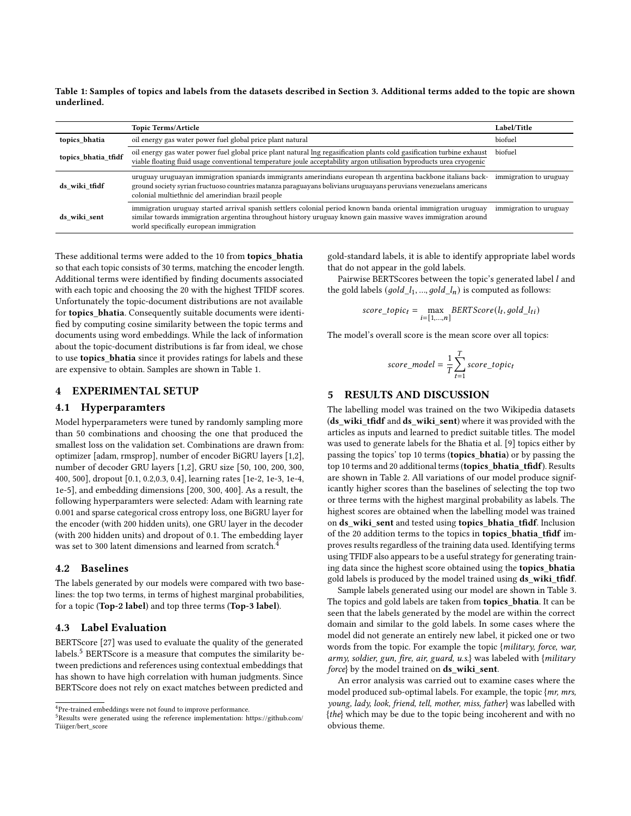Table 1: Samples of topics and labels from the datasets described in Section 3. Additional terms added to the topic are shown underlined.

|                     | <b>Topic Terms/Article</b>                                                                                                                                                                                                                                                              | Label/Title            |
|---------------------|-----------------------------------------------------------------------------------------------------------------------------------------------------------------------------------------------------------------------------------------------------------------------------------------|------------------------|
| topics bhatia       | oil energy gas water power fuel global price plant natural                                                                                                                                                                                                                              | biofuel                |
| topics bhatia tfidf | oil energy gas water power fuel global price plant natural lng regasification plants cold gasification turbine exhaust<br>viable floating fluid usage conventional temperature joule acceptability argon utilisation byproducts urea cryogenic                                          | biofuel                |
| ds wiki tfidf       | uruguay uruguayan immigration spaniards immigrants amerindians european th argentina backbone italians back-<br>ground society syrian fructuoso countries matanza paraguayans bolivians uruguayans peruvians venezuelans americans<br>colonial multiethnic del amerindian brazil people | immigration to uruguay |
| ds wiki sent        | immigration uruguay started arrival spanish settlers colonial period known banda oriental immigration uruguay<br>similar towards immigration argentina throughout history uruguay known gain massive waves immigration around<br>world specifically european immigration                | immigration to uruguay |

These additional terms were added to the 10 from topics\_bhatia so that each topic consists of 30 terms, matching the encoder length. Additional terms were identified by finding documents associated with each topic and choosing the 20 with the highest TFIDF scores. Unfortunately the topic-document distributions are not available for topics\_bhatia. Consequently suitable documents were identified by computing cosine similarity between the topic terms and documents using word embeddings. While the lack of information about the topic-document distributions is far from ideal, we chose to use topics\_bhatia since it provides ratings for labels and these are expensive to obtain. Samples are shown in Table 1.

## EXPERIMENTAL SETUP

## 4.1 Hyperparamters

Model hyperparameters were tuned by randomly sampling more than 50 combinations and choosing the one that produced the smallest loss on the validation set. Combinations are drawn from: optimizer [adam, rmsprop], number of encoder BiGRU layers [1,2], number of decoder GRU layers [1,2], GRU size [50, 100, 200, 300, 400, 500], dropout [0.1, 0.2,0.3, 0.4], learning rates [1e-2, 1e-3, 1e-4, 1e-5], and embedding dimensions [200, 300, 400]. As a result, the following hyperparamters were selected: Adam with learning rate 0.001 and sparse categorical cross entropy loss, one BiGRU layer for the encoder (with 200 hidden units), one GRU layer in the decoder (with 200 hidden units) and dropout of 0.1. The embedding layer was set to 300 latent dimensions and learned from scratch.<sup>4</sup>

#### 4.2 Baselines

The labels generated by our models were compared with two baselines: the top two terms, in terms of highest marginal probabilities, for a topic (Top-2 label) and top three terms (Top-3 label).

### 4.3 Label Evaluation

BERTScore [27] was used to evaluate the quality of the generated labels.<sup>5</sup> BERTScore is a measure that computes the similarity between predictions and references using contextual embeddings that has shown to have high correlation with human judgments. Since BERTScore does not rely on exact matches between predicted and

gold-standard labels, it is able to identify appropriate label words that do not appear in the gold labels.

Pairwise BERTScores between the topic's generated label *l* and the gold labels  $(\text{gold\_l}_1, ..., \text{gold\_l}_n)$  is computed as follows:

$$
score\_topic_t = \max_{i = [1,...,n]} BERTScore(l_t, gold\_l_{ti})
$$

The model's overall score is the mean score over all topics:

$$
score\_model = \frac{1}{T}\sum_{t=1}^{T} score\_topic_t
$$

#### 5 RESULTS AND DISCUSSION

The labelling model was trained on the two Wikipedia datasets (ds\_wiki\_tfidf and ds\_wiki\_sent) where it was provided with the articles as inputs and learned to predict suitable titles. The model was used to generate labels for the Bhatia et al. [9] topics either by passing the topics' top 10 terms (topics\_bhatia) or by passing the top 10 terms and 20 additional terms (topics\_bhatia\_tfidf). Results are shown in Table 2. All variations of our model produce significantly higher scores than the baselines of selecting the top two or three terms with the highest marginal probability as labels. The highest scores are obtained when the labelling model was trained on ds\_wiki\_sent and tested using topics\_bhatia\_tfidf. Inclusion of the 20 addition terms to the topics in topics\_bhatia\_tfidf improves results regardless of the training data used. Identifying terms using TFIDF also appears to be a useful strategy for generating training data since the highest score obtained using the topics\_bhatia gold labels is produced by the model trained using ds\_wiki\_tfidf.

Sample labels generated using our model are shown in Table 3. The topics and gold labels are taken from topics\_bhatia. It can be seen that the labels generated by the model are within the correct domain and similar to the gold labels. In some cases where the model did not generate an entirely new label, it picked one or two words from the topic. For example the topic {military, force, war, army, soldier, gun, fire, air, guard, u.s.} was labeled with {military force} by the model trained on ds\_wiki\_sent.

An error analysis was carried out to examine cases where the model produced sub-optimal labels. For example, the topic {mr, mrs, young, lady, look, friend, tell, mother, miss, father} was labelled with {the} which may be due to the topic being incoherent and with no obvious theme.

<sup>4</sup>Pre-trained embeddings were not found to improve performance.

<sup>5</sup>Results were generated using the reference implementation: https://github.com/ Tiiiger/bert\_score